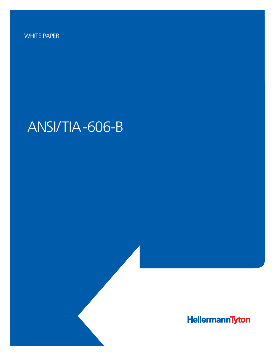WHITE PAPER

# ANSI/TIA-606-B

HellermannTyton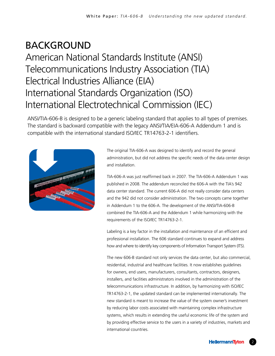## BACKGROUND American National Standards Institute (ANSI) Telecommunications Industry Association (TIA) Electrical Industries Alliance (EIA) International Standards Organization (ISO) International Electrotechnical Commission (IEC)

ANSI/TIA-606-B is designed to be a generic labeling standard that applies to all types of premises. The standard is backward compatible with the legacy ANSI/TIA/EIA-606-A Addendum 1 and is compatible with the international standard ISO/IEC TR14763-2-1 identifiers.



The original TIA-606-A was designed to identify and record the general administration, but did not address the specific needs of the data center design and installation.

TIA-606-A was just reaffirmed back in 2007. The TIA-606-A Addendum 1 was published in 2008. The addendum reconciled the 606-A with the TIA's 942 data center standard. The current 606-A did not really consider data centers and the 942 did not consider administration. The two concepts came together in Addendum 1 to the 606-A. The development of the ANSI/TIA-606-B combined the TIA-606-A and the Addendum 1 while harmonizing with the requirements of the ISO/IEC TR14763-2-1.

Labeling is a key factor in the installation and maintenance of an efficient and professional installation. The 606 standard continues to expand and address how and where to identify key components of Information Transport System (ITS).

The new 606-B standard not only services the data center, but also commercial, residential, industrial and healthcare facilities. It now establishes guidelines for owners, end users, manufacturers, consultants, contractors, designers, installers, and facilities administrators involved in the administration of the telecommunications infrastructure. In addition, by harmonizing with ISO/IEC TR14763-2-1, the updated standard can be implemented internationally. The new standard is meant to increase the value of the system owner's investment by reducing labor costs associated with maintaining complex infrastructure systems, which results in extending the useful economic life of the system and by providing effective service to the users in a variety of industries, markets and international countries.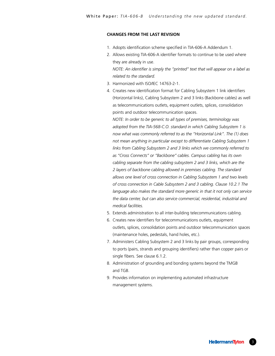#### **CHANGES FROM THE LAST REVISION**

- 1. Adopts identification scheme specified in TIA-606-A Addendum 1.
- 2. Allows existing TIA-606-A identifier formats to continue to be used where they are already in use.

*NOTE: An identifier is simply the "printed" text that will appear on a label as related to the standard.*

- 3. Harmonized with ISO/IEC 14763-2-1.
- 4. Creates new identification format for Cabling Subsystem 1 link identifiers (Horizontal links), Cabling Subsystem 2 and 3 links (Backbone cables) as well as telecommunications outlets, equipment outlets, splices, consolidation points and outdoor telecommunication spaces.

*NOTE: In order to be generic to all types of premises, terminology was adopted from the TIA-568-C.O. standard in which Cabling Subsystem 1 is now what was commonly referred to as the "Horizontal Link". The (1) does not mean anything in particular except to differentiate Cabling Subsystem 1 links from Cabling Subsystem 2 and 3 links which we commonly referred to as "Cross Connects" or "Backbone" cables. Campus cabling has its own cabling separate from the cabling subsystem 2 and 3 links, which are the 2 layers of backbone cabling allowed in premises cabling. The standard allows one level of cross connection in Cabling Subsystem 1 and two levels of cross connection in Cable Subsystem 2 and 3 cabling. Clause 10.2.1 The*  language also makes the standard more generic in that it not only can service *the data center, but can also service commercial, residential, industrial and medical facilities.* 

- 5. Extends administration to all inter-building telecommunications cabling.
- 6. Creates new identifiers for telecommunications outlets, equipment outlets, splices, consolidation points and outdoor telecommunication spaces (maintenance holes, pedestals, hand holes, etc.).
- 7. Administers Cabling Subsystem 2 and 3 links by pair groups, corresponding to ports (pairs, strands and grouping identifiers) rather than copper pairs or single fibers. See clause 6.1.2.
- 8. Administration of grounding and bonding systems beyond the TMGB and TGB.
- 9. Provides information on implementing automated infrastructure management systems.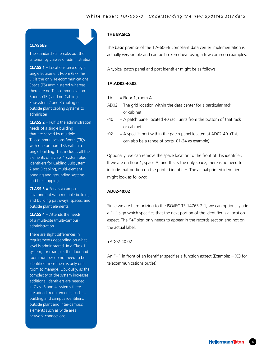#### **CLASSES**

The standard still breaks out the criterion by classes of administration.

**CLASS 1** = Locations served by a single Equipment Room (ER) This ER is the only Telecommunications Space (TS) administered whereas there are no Telecommunication Rooms (TRs) and no Cabling Subsystem 2 and 3 cabling or outside plant cabling systems to administer.

**CLASS 2** = Fulfils the administration needs of a single building that are served by multiple Telecommunications Room (TR)s with one or more TR's within a single building. This includes all the elements of a class 1 system plus identifiers for Cabling Subsystem 2 and 3 cabling, multi-element bonding and grounding systems and fire stopping.

**CLASS 3** = Serves a campus environment with multiple buildings and building pathways, spaces, and outside plant elements.

**CLASS 4** = Attends the needs of a multi-site (multi-campus) administration.

There are slight differences in requirements depending on what level is administered. In a Class 1 system, for example, the floor and room number do not need to be identified since there is only one room to manage. Obviously, as the complexity of the system increases, additional identifiers are needed. In Class 3 and 4 systems there are added requirements, such as building and campus identifiers, outside plant and inter-campus elements such as wide area network connections.

#### **THE BASICS**

The basic premise of the TIA-606-B compliant data center implementation is actually very simple and can be broken down using a few common examples.

A typical patch panel and port identifier might be as follows:

#### **1A.AD02-40:02**

- 1A.  $=$  Floor 1, room A
- $AD02 =$  The grid location within the data center for a particular rack or cabinet
- $-40 = A$  patch panel located 40 rack units from the bottom of that rack or cabinet
- $102 = A$  specific port within the patch panel located at AD02-40. (This can also be a range of ports 01-24 as example)

Optionally, we can remove the space location to the front of this identifier. If we are on floor 1, space A, and this is the only space, there is no need to include that portion on the printed identifier. The actual printed identifier might look as follows:

#### **AD02-40:02**

Since we are harmonizing to the ISO/IEC TR 14763-2-1, we can optionally add a "+" sign which specifies that the next portion of the identifier is a location aspect. The "+" sign only needs to appear in the records section and not on the actual label.

#### +AD02-40:02

An " $=$ " in front of an identifier specifies a function aspect (Example:  $=$  XO for telecommunications outlet).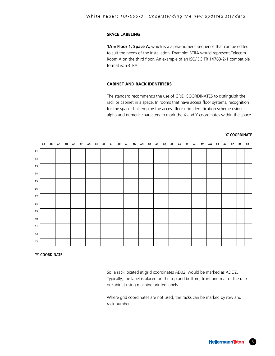#### **SPACE LABELING**

**1A = Floor 1, Space A,** which is a alpha-numeric sequence that can be edited to suit the needs of the installation. Example: 3TRA would represent Telecom Room A on the third floor. An example of an ISO/IEC TR 14763-2-1 compatible format is: +3TRA.

#### **CABINET AND RACK IDENTIFIERS**

The standard recommends the use of GRID COORDINATES to distinguish the rack or cabinet in a space. In rooms that have access floor systems, recognition for the space shall employ the access floor grid identification scheme using alpha and numeric characters to mark the X and Y coordinates within the space.



#### **'Y' COORDINATE**

So, a rack located at grid coordinates AD02, would be marked as ADO2. Typically, the label is placed on the top and bottom, front and rear of the rack or cabinet using machine printed labels.

Where grid coordinates are not used, the racks can be marked by row and rack number.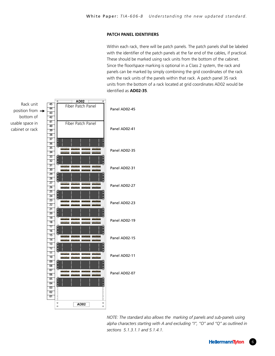#### **PATCH PANEL IDENTIFIERS**

Within each rack, there will be patch panels. The patch panels shall be labeled with the identifier of the patch panels at the far end of the cables, if practical. These should be marked using rack units from the bottom of the cabinet. Since the floor/space marking is optional in a Class 2 system, the rack and panels can be marked by simply combining the grid coordinates of the rack with the rack units of the panels within that rack. A patch panel 35 rack units from the bottom of a rack located at grid coordinates AD02 would be identified as **AD02-35**.



*NOTE: The standard also allows the marking of panels and sub-panels using alpha characters starting with A and excluding "I", "O" and "Q" as outlined in sections 5.1.3.1.1 and 5.1.4.1.*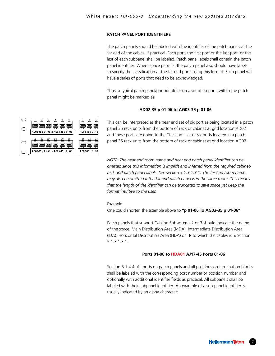#### **PATCH PANEL PORT IDENTIFIERS**

The patch panels should be labeled with the identifier of the patch panels at the far end of the cables, if practical. Each port, the first port or the last port, or the last of each subpanel shall be labeled. Patch panel labels shall contain the patch panel identifier. Where space permits, the patch panel also should have labels to specify the classification at the far end ports using this format. Each panel will have a series of ports that need to be acknowledged.

Thus, a typical patch panel/port identifier on a set of six ports within the patch panel might be marked as: Banel might be marked as.

#### **AD02-35 p 01-06 to AG03-35 p 01-06**



This can be interpreted as the near end set of six port as being located in a patch panel 35 rack units from the bottom of rack or cabinet at grid location AD02 and these ports are going to the "far-end" set of six ports located in a patch panel 35 rack units from the bottom of rack or cabinet at grid location AG03.

*NOTE: The near end room name and near end patch panel identifier can be*  **89** *Comitted since this information is implicit and inferred from the required cabineth rack and patch panel labels. See section 5.1.3.1.3.1. The far end room name*  may also be omitted if the far-end patch panel is in the same room. This means that the length of the identifier can be truncated to save space yet keep the *format intuitive to the user.*

Example:

One could shorten the example above to **"p 01-06 To AG03-35 p 01-06"**

Patch panels that support Cabling Subsystems 2 or 3 should indicate the name of the space; Main Distribution Area (MDA), Intermediate Distribution Area (IDA), Horizontal Distribution Area (HDA) or TR to which the cables run. Section 5.1.3.1.3.1.

#### **Ports 01-06 to HDA01 AJ17-45 Ports 01-06**

Section 5.1.4.4. All ports on patch panels and all positions on termination blocks Section Statement in the ports on patch panels and all positions on commutation sub-<br>Shall be labeled with the corresponding port number or position number and shall be labeled with the corresponding port hannel or position number and<br>optionally with additional identifier fields as practical. All subpanels shall be labeled with their subpanel identifier. An example of a sub-panel identifier is usually indicated by an alpha character: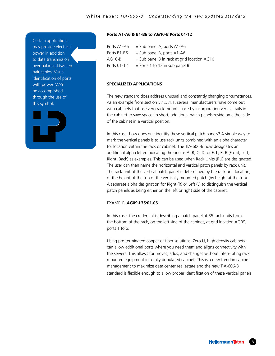Certain applications may provide electrical power in addition to data transmission over balanced twisted pair cables. Visual identification of ports with power MAY be accomplished through the use of this symbol.



#### **Ports A1-A6 & B1-B6 to AG10-B Ports 01-12**

| Ports A1-A6 | $=$ Sub panel A, ports A1-A6                  |
|-------------|-----------------------------------------------|
| Ports B1-B6 | $=$ Sub panel B, ports A1-A6                  |
| AG10-B      | $=$ Sub panel B in rack at grid location AG10 |
| Ports 01-12 | $=$ Ports 1 to 12 in sub panel B              |

#### **SPECIALIZED APPLICATIONS**

The new standard does address unusual and constantly changing circumstances. As an example from section 5.1.3.1.1, several manufacturers have come out with cabinets that use zero rack mount space by incorporating vertical rails in the cabinet to save space. In short, additional patch panels reside on either side of the cabinet in a vertical position.

In this case, how does one identify these vertical patch panels? A simple way to mark the vertical panels is to use rack units combined with an alpha character for location within the rack or cabinet. The TIA-606-B now designates an additional alpha letter indicating the side as A, B, C, D, or F, L, R, B (Front, Left, Right, Back) as examples. This can be used when Rack Units (RU) are designated. The user can then name the horizontal and vertical patch panels by rack unit. The rack unit of the vertical patch panel is determined by the rack unit location, of the height of the top of the vertically mounted patch (by height at the top). A separate alpha designation for Right (R) or Left (L) to distinguish the vertical patch panels as being either on the left or right side of the cabinet.

#### EXAMPLE: **AG09-L35:01-06**

In this case, the credential is describing a patch panel at 35 rack units from the bottom of the rack, on the left side of the cabinet, at grid location AG09, ports 1 to 6.

Using pre-terminated copper or fiber solutions, Zero U, high density cabinets can allow additional ports where you need them and aligns connectivity with the servers. This allows for moves, adds, and changes without interrupting rack mounted equipment in a fully populated cabinet. This is a new trend in cabinet management to maximize data center real estate and the new TIA-606-B standard is flexible enough to allow proper identification of these vertical panels.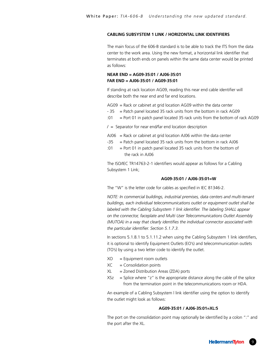#### **CABLING SUBSYSTEM 1 LINK / HORIZONTAL LINK IDENTIFIERS**

The main focus of the 606-B standard is to be able to track the ITS from the data center to the work area. Using the new format, a horizontal link identifier that terminates at both ends on panels within the same data center would be printed as follows:

#### **NEAR END = AG09-35:01 / AJ06-35:01 FAR END = AJ06-35:01 / AG09-35:01**

If standing at rack location AG09, reading this near end cable identifier will describe both the near end and far end locations.

AG09 = Rack or cabinet at grid location AG09 within the data center

- $-35$  = Patch panel located 35 rack units from the bottom in rack AG09
- :01 = Port 01 in patch panel located 35 rack units from the bottom of rack AG09

 $/$  = Separator for near end/far end location description

- $A$ J06 = Rack or cabinet at grid location  $A$ J06 within the data center
- $-35$  = Patch panel located 35 rack units from the bottom in rack AJ06
- :01 = Port 01 in patch panel located 35 rack units from the bottom of the rack in AJ06

The ISO/IEC TR14763-2-1 identifiers would appear as follows for a Cabling Subsystem 1 Link;

#### **AG09-35:01 / AJ06-35:01=W**

The "W" is the letter code for cables as specified in IEC 81346-2.

*NOTE: In commercial buildings, industrial premises, data centers and multi-tenant buildings, each individual telecommunications outlet or equipment outlet shall be labeled with the Cabling Subsystem 1 link identifier. The labeling SHALL appear on the connector, faceplate and Multi User Telecommunications Outlet Assembly (MUTOA) in a way that clearly identifies the individual connector associated with the particular identifier. Section 5.1.7.3.*

In sections 5.1.8.1 to 5.1.11.2 when using the Cabling Subsystem 1 link identifiers, it is optional to identify Equipment Outlets (EO's) and telecommunication outlets (TO's) by using a two letter code to identify the outlet.

- $XO =$  Equipment room outlets
- $XC =$  Consolidation points
- $XL = Zoned Distribution Area (ZDA) ports$
- $XSz$  = Splice where "z" is the appropriate distance along the cable of the splice from the termination point in the telecommunications room or HDA.

An example of a Cabling Subsystem l link identifier using the option to identify the outlet might look as follows:

#### **AG09-35:01 / AJ06-35:01=XL:5**

The port on the consolidation point may optionally be identified by a colon ":" and the port after the XL.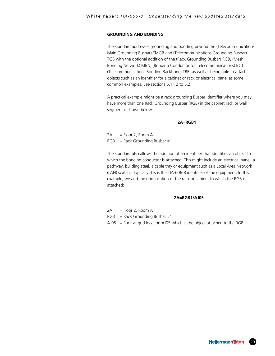#### **GROUNDING AND BONDING**

The standard addresses grounding and bonding beyond the (Telecommunications Main Grounding Busbar) TMGB and (Telecommunications Grounding Busbar) TGB with the optional addition of the (Rack Grounding Busbar) RGB, (Mesh Bonding Network) MBN, (Bonding Conductor for Telecommunications) BCT, (Telecommunications Bonding Backbone) TBB, as well as being able to attach objects such as an identifier for a cabinet or rack or electrical panel as some common examples. See sections 5.1.12 to 5.2.

A practical example might be a rack grounding Busbar identifier where you may have more than one Rack Grounding Busbar (RGB) in the cabinet rack or wall segment is shown below.

#### **2A=RGB1**

 $2A =$  Floor 2, Room A  $RGB$  = Rack Grounding Busbar #1

The standard also allows the addition of an identifier that identifies an object to which the bonding conductor is attached. This might include an electrical panel, a pathway, building steel, a cable tray or equipment such as a Local Area Network (LAN) switch. Typically this is the TIA-606-B identifier of the equipment. In this example, we add the grid location of the rack or cabinet to which the RGB is attached:

#### **2A=RGB1/AJ05**

- $2A =$  Floor 2, Room A
- $RGB$  = Rack Grounding Busbar #1
- $A$ J05 = Rack at grid location AJ05 which is the object attached to the RGB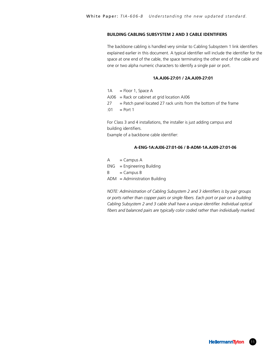#### **BUILDING CABLING SUBSYSTEM 2 AND 3 CABLE IDENTIFIERS**

The backbone cabling is handled very similar to Cabling Subsystem 1 link identifiers explained earlier in this document. A typical identifier will include the identifier for the space at one end of the cable, the space terminating the other end of the cable and one or two alpha numeric characters to identify a single pair or port.

#### **1A.AJ06-27:01 / 2A.AJ09-27:01**

| $1A = Floor 1$ . Space A                                              |
|-----------------------------------------------------------------------|
| $A$ J06 = Rack or cabinet at grid location $A$ J06                    |
| $27 =$ Patch panel located 27 rack units from the bottom of the frame |
| :01 = Port 1                                                          |
|                                                                       |

For Class 3 and 4 installations, the installer is just adding campus and building identifiers. Example of a backbone cable identifier:

#### **A-ENG-1A:AJ06-27:01-06 / B-ADM-1A.AJ09-27:01-06**

| А   | $=$ Campus A                    |
|-----|---------------------------------|
| ENG | $=$ Engineering Building        |
| R   | $=$ Campus B                    |
|     | $ADM =$ Administration Building |

*NOTE: Administration of Cabling Subsystem 2 and 3 identifiers is by pair groups or ports rather than copper pairs or single fibers. Each port or pair on a building Cabling Subsystem 2 and 3 cable shall have a unique identifier. Individual optical fibers and balanced pairs are typically color coded rather than individually marked.*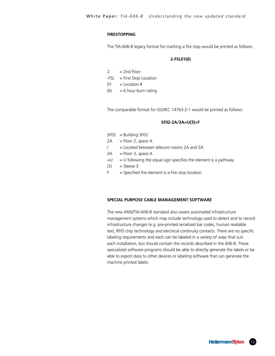#### **FIRESTOPPING**

The TIA-606-B legacy format for marking a fire stop would be printed as follows:

#### **2-FSL01(6)**

| 2    | $= 2nd$ Floor           |
|------|-------------------------|
| -FSL | $=$ First Stop Location |
| 01   | $=$ Location #          |
| (6)  | $= 6$ hour burn rating  |
|      |                         |

The comparable format for ISO/IEC 14763-2-1 would be printed as follows:

#### **SF02-2A/3A=U(3)=F**

- $SFO2 = Building SFO2$
- $2A =$ Floor 2, space A
- / = Located between telecom rooms 2A and 3A
- $3A =$  Floor 3, space A
- $=$  U = U following the equal sign specifies the element is a pathway
- $(3)$  = Sleeve 3
- $F =$  Specified the element is a Fire stop location

#### **SPECIAL PURPOSE CABLE MANAGEMENT SOFTWARE**

The new ANSI/TIA-606-B standard also covers automated infrastructure management systems which may include technology used to detect and to record infrastructure changes (e.g. pre-printed serialized bar codes, human readable text, RFID chip technology and electrical continuity contacts. There are no specific labeling requirements and each can be labeled in a variety of ways that suit each installation, but should contain the records described in the 606-B. These specialized software programs should be able to directly generate the labels or be able to export data to other devices or labeling software that can generate the machine printed labels.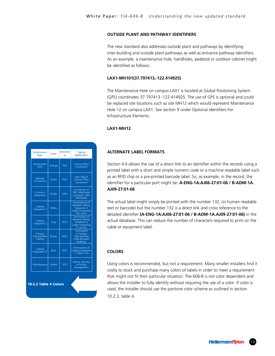#### **OUTSIDE PLANT AND PATHWAY IDENTIFIERS**

The new standard also addresses outside plant and pathways by identifying inter-building and outside plant pathways as well as entrance pathway identifiers. As an example, a maintenance hole, handholes, pedestal or outdoor cabinet might be identified as follows:

#### **LAX1-MH101(37.797413,-122.414925)**

The Maintenance Hole on campus LAX1 is located at Global Positioning System (GPS) coordinates 37.797413 -122.414925. The use of GPS is optional and could be replaced site locations such as site MH12 which would represent Maintenance Hole 12 on campus LAX1. See section 9 under Optional Identifiers For Infrastructure Elements.

#### **LAX1-MH12**

#### **ALTERNATE LABEL FORMATS**

Section 4.6 allows the use of a direct link to an identifier within the records using a printed label with a short and simple numeric code or a machine readable label such as an RFID chip or a pre-printed barcode label. So, as example, in the record, the identifier for a particular port might be: **A-ENG-1A:AJ06-27:01-06 / B-ADM-1A. AJ09-27:01-06**

The actual label might simply be printed with the number 132, (in human readable text or barcode) but the number 132 is a direct link and cross reference to the detailed identifier **(A-ENG-1A:AJ06-27:01-06 / B-ADM-1A.AJ09-27:01-06)** in the actual database. This can reduce the number of characters required to print on the cable or equipment label.

#### **COLORS**

Using colors is recommended, but not a requirement. Many smaller installers find it costly to stock and purchase many colors of labels in order to meet a requirement that might not fit their particular situation. The 606-B is not color dependent and allows the installer to fully identify without requiring the use of a color. If color is used, the installer should use the pantone color scheme as outlined in section 10.2.2, table 4.

| <b>Termination</b><br><b>Type</b>   | Color                 | <b>Pantone</b><br># | <b>Typical</b><br><b>Application</b>                                                              |
|-------------------------------------|-----------------------|---------------------|---------------------------------------------------------------------------------------------------|
| Demarcation<br>Point                | Orange                | 150C                | <b>Central Office</b><br>Connection                                                               |
| <b>Network</b><br>Connection        | Green                 | 353C                | User Side of<br><b>Central Office</b><br>Connection                                               |
| Common<br>Equipment                 | Purple                | 264C                | Connection to<br>PBX, Mainframe<br>Computer, LAN,<br>Multiplexer                                  |
| Cabling<br>Subsystem 3              | White                 |                     | <b>Terminations of</b><br><b>Building Cabling</b><br>Subsystem 3<br>Cable Connecting<br>MC ot ICs |
| Cabling<br>Subsystem <sub>2</sub>   | Gray                  | 422C                | <b>Termination of</b><br><b>Building Cabling</b><br>Subsystem 2<br>Cable Connecting<br>IC ot HCs  |
| Campus<br>Inter-building<br>Cabling | <b>Brown</b>          | 465C                | <b>Termination</b><br>of Campus<br>Inter-building<br>Cable Between<br><b>Buildings</b>            |
| Cabling<br>Subsystem 31             | Blue                  | 291C                | <b>Terminations of</b><br>Cabling Subsystem<br>1 Cable In TSs                                     |
| <b>Miscellaneous</b>                | Yellow                | 101C                | Alarms, Security,<br>or Energy<br>Management                                                      |
|                                     | 10.2.2 Table 4 Colors |                     |                                                                                                   |
|                                     |                       |                     |                                                                                                   |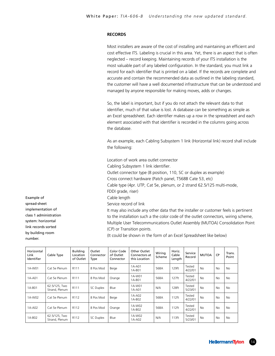#### **RECORDS**

|                                                                                                                                                       |                                 |                                          |                             | Most installers are aware of the cost of installing and maintaining an efficient and<br>cost effective ITS. Labeling is crucial in this area. Yet, there is an aspect that is often<br>neglected – record keeping. Maintaining records of your ITS installation is the<br>most valuable part of any labeled configuration. In the standard, you must link a<br>record for each identifier that is printed on a label. If the records are complete and<br>accurate and contain the recommended data as outlined in the labeling standard,<br>the customer will have a well documented infrastructure that can be understood and<br>managed by anyone responsible for making moves, adds or changes.                         |                                                |                  |                           |                   |              |    |                 |  |
|-------------------------------------------------------------------------------------------------------------------------------------------------------|---------------------------------|------------------------------------------|-----------------------------|----------------------------------------------------------------------------------------------------------------------------------------------------------------------------------------------------------------------------------------------------------------------------------------------------------------------------------------------------------------------------------------------------------------------------------------------------------------------------------------------------------------------------------------------------------------------------------------------------------------------------------------------------------------------------------------------------------------------------|------------------------------------------------|------------------|---------------------------|-------------------|--------------|----|-----------------|--|
|                                                                                                                                                       |                                 |                                          |                             | So, the label is important, but if you do not attach the relevant data to that<br>identifier, much of that value is lost. A database can be something as simple as<br>an Excel spreadsheet. Each identifier makes up a row in the spreadsheet and each<br>element associated with that identifier is recorded in the columns going across<br>the database.                                                                                                                                                                                                                                                                                                                                                                 |                                                |                  |                           |                   |              |    |                 |  |
|                                                                                                                                                       |                                 |                                          |                             | As an example, each Cabling Subsystem 1 link (Horizontal link) record shall include<br>the following:                                                                                                                                                                                                                                                                                                                                                                                                                                                                                                                                                                                                                      |                                                |                  |                           |                   |              |    |                 |  |
| Example of<br>spread-sheet<br>implementation of<br>class 1 administration<br>system: horizontal<br>link records sorted<br>by building room<br>number. |                                 |                                          |                             | Location of work area outlet connector<br>Cabling Subsystem 1 link identifier.<br>Outlet connector type (8 position, 110, SC or duplex as example)<br>Cross connect hardware (Patch panel, T568B Cate 53, etc)<br>Cable type (4pr. UTP, Cat 5e, plenum, or 2 strand 62.5/125 multi-mode,<br>FDDI grade, riser)<br>Cable length<br>Service record of link<br>It may also include any other data that the installer or customer feels is pertinent<br>to the installation such a the color code of the outlet connectors, wiring scheme,<br>Multiple User Telecommunications Outlet Assembly (MUTOA) Consolidation Point<br>(CP) or Transition points.<br>(It could be shown in the form of an Excel Spreadsheet like below) |                                                |                  |                           |                   |              |    |                 |  |
| Horizontal<br>Link<br>Identifier                                                                                                                      | Cable Type                      | <b>Building</b><br>Location<br>of Outlet | Outlet<br>Connector<br>Type | Color Code<br>of Outlet<br>Connector                                                                                                                                                                                                                                                                                                                                                                                                                                                                                                                                                                                                                                                                                       | Other Outlet<br>Connectors at<br>this Location | Wiring<br>Scheme | Horiz.<br>Cable<br>Length | Service<br>Record | <b>MUTOA</b> | CP | Trans.<br>Point |  |
| 1A-W01                                                                                                                                                | Cat 5e Plenum                   | R111                                     | 8 Pos Mod                   | Beige                                                                                                                                                                                                                                                                                                                                                                                                                                                                                                                                                                                                                                                                                                                      | 1A-A01<br>1A-B01                               | 568A             | 129ft                     | Tested<br>4/22/01 | No           | No | No              |  |
| 1A-A01                                                                                                                                                | Cat 5e Plenum                   | R111                                     | 8 Pos Mod                   | Orange                                                                                                                                                                                                                                                                                                                                                                                                                                                                                                                                                                                                                                                                                                                     | 1A-W01<br>1A-B01                               | 568A             | 127ft                     | Tested<br>4/22/01 | No           | No | No              |  |
| 1A-B01                                                                                                                                                | 62.5/125, Two<br>Strand, Plenum | R111                                     | SC Duplex                   | Blue                                                                                                                                                                                                                                                                                                                                                                                                                                                                                                                                                                                                                                                                                                                       | 1A-W01<br>1A-A01                               | N/A              | 128ft                     | Tested<br>5/23/01 | No           | No | No              |  |
| 1A-W02                                                                                                                                                | Cat 5e Plenum                   | R112                                     | 8 Pos Mod                   | Beige                                                                                                                                                                                                                                                                                                                                                                                                                                                                                                                                                                                                                                                                                                                      | 1A-A02<br>1A-B02                               | 568A             | 112ft                     | Tested<br>4/22/01 | No           | No | No              |  |
| 1A-A02                                                                                                                                                | Cat 5e Plenum                   | R112                                     | 8 Pos Mod                   | Orange                                                                                                                                                                                                                                                                                                                                                                                                                                                                                                                                                                                                                                                                                                                     | 1A-W02<br>1A-B02                               | 568A             | 112ft                     | Tested<br>4/22/01 | No           | No | No              |  |

1A-W02 <br>1A-A02 N/A 113ft 5/23/01

1A-B02 62.5/125, Two R112 SC Duplex Blue 1A-W02

 $5/23/01$  No No No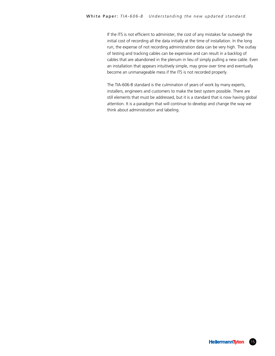If the ITS is not efficient to administer, the cost of any mistakes far outweigh the initial cost of recording all the data initially at the time of installation. In the long run, the expense of not recording administration data can be very high. The outlay of testing and tracking cables can be expensive and can result in a backlog of cables that are abandoned in the plenum in lieu of simply pulling a new cable. Even an installation that appears intuitively simple, may grow over time and eventually become an unmanageable mess if the ITS is not recorded properly.

The TIA-606-B standard is the culmination of years of work by many experts, installers, engineers and customers to make the best system possible. There are still elements that must be addressed, but it is a standard that is now having global attention. It is a paradigm that will continue to develop and change the way we think about administration and labeling.